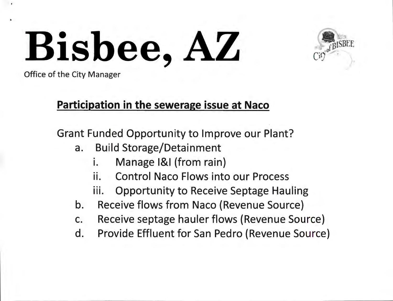

Office of the City Manager

### Participation in the sewerage issue at Naco

Grant Funded Opportunity to Improve our Plant?

- a. Build Storage/Detainment
	- i. Manage 1&1 (from rain)
	- ii. Control Naco Flows into our Process
	- iii. Opportunity to Receive Septage Hauling
- b. Receive flows from Naco (Revenue Source)
- c. Receive septage hauler flows (Revenue Source)
- d. Provide Effluent for San Pedro (Revenue Source)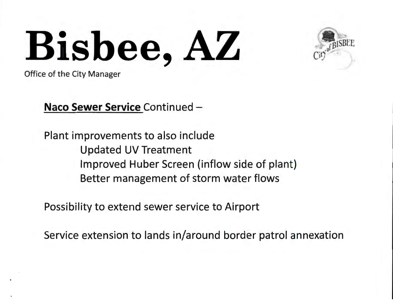

Office of the City Manager

**Naco Sewer Service Continued -**

Plant improvements to also include Updated UV Treatment Improved Huber Screen (inflow side of plant) Better management of storm water flows

Possibility to extend sewer service to Airport

Service extension to lands in/around border patrol annexation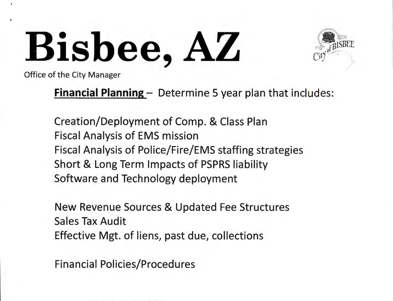

Office of the City Manager

**Financial Planning** – Determine 5 year plan that includes:

Creation/Deployment of Comp. & Class Plan Fiscal Analysis of EMS mission Fiscal Analysis of Police/Fire/EMS staffing strategies Short & Long Term Impacts of PSPRS liability Software and Technology deployment

New Revenue Sources & Updated Fee Structures Sales Tax Audit Effective Mgt. of liens, past due, collections

Financial Policies/Procedures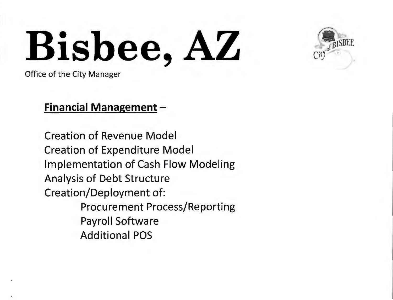

Office of the City Manager

#### **Financial Management** -

Creation of Revenue Model Creation of Expenditure Model Implementation of Cash Flow Modeling Analysis of Debt Structure Creation/Deployment of: Procurement Process/Reporting Payroll Software Additional POS